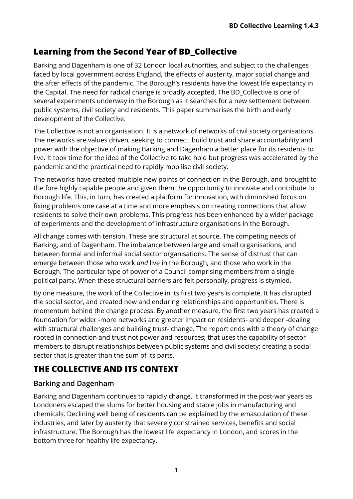# **Learning from the Second Year of BD\_Collective**

Barking and Dagenham is one of 32 London local authorities, and subject to the challenges faced by local government across England, the effects of austerity, major social change and the after effects of the pandemic. The Borough's residents have the lowest life expectancy in the Capital. The need for radical change is broadly accepted. The BD\_Collective is one of several experiments underway in the Borough as it searches for a new settlement between public systems, civil society and residents. This paper summarises the birth and early development of the Collective.

The Collective is not an organisation. It is a network of networks of civil society organisations. The networks are values driven, seeking to connect, build trust and share accountability and power with the objective of making Barking and Dagenham a better place for its residents to live. It took time for the idea of the Collective to take hold but progress was accelerated by the pandemic and the practical need to rapidly mobilise civil society.

The networks have created multiple new points of connection in the Borough, and brought to the fore highly capable people and given them the opportunity to innovate and contribute to Borough life. This, in turn, has created a platform for innovation, with diminished focus on fixing problems one case at a time and more emphasis on creating connections that allow residents to solve their own problems. This progress has been enhanced by a wider package of experiments and the development of infrastructure organisations in the Borough.

All change comes with tension. These are structural at source. The competing needs of Barking, and of Dagenham. The imbalance between large and small organisations, and between formal and informal social sector organisations. The sense of distrust that can emerge between those who work *and* live in the Borough, and those who work in the Borough. The particular type of power of a Council comprising members from a single political party. When these structural barriers are felt personally, progress is stymied.

By one measure, the work of the Collective in its first two years is complete. It has disrupted the social sector, and created new and enduring relationships and opportunities. There is momentum behind the change process. By another measure, the first two years has created a foundation for wider -more networks and greater impact on residents- and deeper -dealing with structural challenges and building trust- change. The report ends with a theory of change rooted in connection and trust not power and resources; that uses the capability of sector members to disrupt relationships between public systems and civil society; creating a social sector that is greater than the sum of its parts.

# **THE COLLECTIVE AND ITS CONTEXT**

## **Barking and Dagenham**

Barking and Dagenham continues to rapidly change. It transformed in the post-war years as Londoners escaped the slums for better housing and stable jobs in manufacturing and chemicals. Declining well being of residents can be explained by the emasculation of these industries, and later by austerity that severely constrained services, benefits and social infrastructure. The Borough has the lowest life expectancy in London, and scores in the bottom three for healthy life expectancy.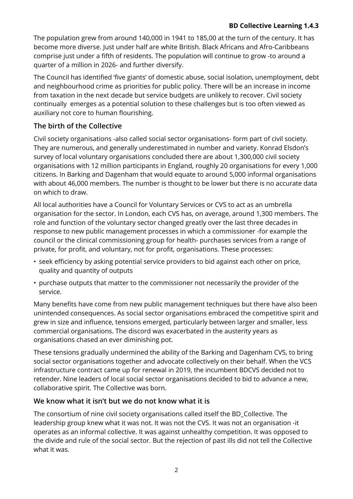## **BD Collective Learning 1.4.3**

The population grew from around 140,000 in 1941 to 185,00 at the turn of the century. It has become more diverse. Just under half are white British. Black Africans and Afro-Caribbeans comprise just under a fifth of residents. The population will continue to grow -to around a quarter of a million in 2026- and further diversify.

The Council has identified 'five giants' of domestic abuse, social isolation, unemployment, debt and neighbourhood crime as priorities for public policy. There will be an increase in income from taxation in the next decade but service budgets are unlikely to recover. Civil society continually emerges as a potential solution to these challenges but is too often viewed as auxiliary not core to human flourishing.

## **The birth of the Collective**

Civil society organisations -also called social sector organisations- form part of civil society. They are numerous, and generally underestimated in number and variety. Konrad Elsdon's survey of local voluntary organisations concluded there are about 1,300,000 civil society organisations with 12 million participants in England, roughly 20 organisations for every 1,000 citizens. In Barking and Dagenham that would equate to around 5,000 informal organisations with about 46,000 members. The number is thought to be lower but there is no accurate data on which to draw.

All local authorities have a Council for Voluntary Services or CVS to act as an umbrella organisation for the sector. In London, each CVS has, on average, around 1,300 members. The role and function of the voluntary sector changed greatly over the last three decades in response to new public management processes in which a commissioner -for example the council or the clinical commissioning group for health- purchases services from a range of private, for profit, and voluntary, not for profit, organisations. These processes:

- seek efficiency by asking potential service providers to bid against each other on price, quality and quantity of outputs
- purchase outputs that matter to the commissioner not necessarily the provider of the service.

Many benefits have come from new public management techniques but there have also been unintended consequences. As social sector organisations embraced the competitive spirit and grew in size and influence, tensions emerged, particularly between larger and smaller, less commercial organisations. The discord was exacerbated in the austerity years as organisations chased an ever diminishing pot.

These tensions gradually undermined the ability of the Barking and Dagenham CVS, to bring social sector organisations together and advocate collectively on their behalf. When the VCS infrastructure contract came up for renewal in 2019, the incumbent BDCVS decided not to retender. Nine leaders of local social sector organisations decided to bid to advance a new, collaborative spirit. The Collective was born.

## **We know what it isn't but we do not know what it is**

The consortium of nine civil society organisations called itself the BD\_Collective. The leadership group knew what it was not. It was not the CVS. It was not an organisation -it operates as an informal collective. It was against unhealthy competition. It was opposed to the divide and rule of the social sector. But the rejection of past ills did not tell the Collective what it was.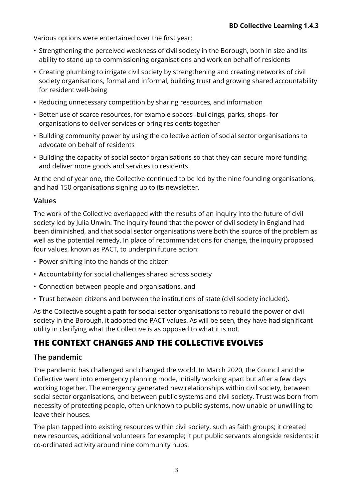Various options were entertained over the first year:

- Strengthening the perceived weakness of civil society in the Borough, both in size and its ability to stand up to commissioning organisations and work on behalf of residents
- Creating plumbing to irrigate civil society by strengthening and creating networks of civil society organisations, formal and informal, building trust and growing shared accountability for resident well-being
- Reducing unnecessary competition by sharing resources, and information
- Better use of scarce resources, for example spaces -buildings, parks, shops- for organisations to deliver services or bring residents together
- Building community power by using the collective action of social sector organisations to advocate on behalf of residents
- Building the capacity of social sector organisations so that they can secure more funding and deliver more goods and services to residents.

At the end of year one, the Collective continued to be led by the nine founding organisations, and had 150 organisations signing up to its newsletter.

## **Values**

The work of the Collective overlapped with the results of an inquiry into the future of civil society led by Julia Unwin. The inquiry found that the power of civil society in England had been diminished, and that social sector organisations were both the source of the problem as well as the potential remedy. In place of recommendations for change, the inquiry proposed four values, known as PACT, to underpin future action:

- **P**ower shifting into the hands of the citizen
- **A**ccountability for social challenges shared across society
- **C**onnection between people and organisations, and
- **T**rust between citizens and between the institutions of state (civil society included).

As the Collective sought a path for social sector organisations to rebuild the power of civil society in the Borough, it adopted the PACT values. As will be seen, they have had significant utility in clarifying what the Collective is as opposed to what it is not.

# **THE CONTEXT CHANGES AND THE COLLECTIVE EVOLVES**

## **The pandemic**

The pandemic has challenged and changed the world. In March 2020, the Council and the Collective went into emergency planning mode, initially working apart but after a few days working together. The emergency generated new relationships within civil society, between social sector organisations, and between public systems and civil society. Trust was born from necessity of protecting people, often unknown to public systems, now unable or unwilling to leave their houses.

The plan tapped into existing resources within civil society, such as faith groups; it created new resources, additional volunteers for example; it put public servants alongside residents; it co-ordinated activity around nine community hubs.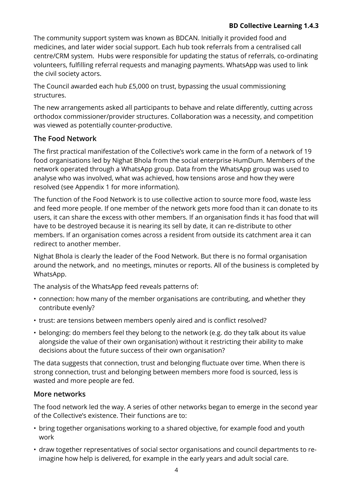## **BD Collective Learning 1.4.3**

The community support system was known as BDCAN. Initially it provided food and medicines, and later wider social support. Each hub took referrals from a centralised call centre/CRM system. Hubs were responsible for updating the status of referrals, co-ordinating volunteers, fulfilling referral requests and managing payments. WhatsApp was used to link the civil society actors.

The Council awarded each hub £5,000 on trust, bypassing the usual commissioning structures.

The new arrangements asked all participants to behave and relate differently, cutting across orthodox commissioner/provider structures. Collaboration was a necessity, and competition was viewed as potentially counter-productive.

## **The Food Network**

The first practical manifestation of the Collective's work came in the form of a network of 19 food organisations led by Nighat Bhola from the social enterprise HumDum. Members of the network operated through a WhatsApp group. Data from the WhatsApp group was used to analyse who was involved, what was achieved, how tensions arose and how they were resolved (see Appendix 1 for more information).

The function of the Food Network is to use collective action to source more food, waste less and feed more people. If one member of the network gets more food than it can donate to its users, it can share the excess with other members. If an organisation finds it has food that will have to be destroyed because it is nearing its sell by date, it can re-distribute to other members. If an organisation comes across a resident from outside its catchment area it can redirect to another member.

Nighat Bhola is clearly the leader of the Food Network. But there is no formal organisation around the network, and no meetings, minutes or reports. All of the business is completed by WhatsApp.

The analysis of the WhatsApp feed reveals patterns of:

- connection: how many of the member organisations are contributing, and whether they contribute evenly?
- trust: are tensions between members openly aired and is conflict resolved?
- belonging: do members feel they belong to the network (e.g. do they talk about its value alongside the value of their own organisation) without it restricting their ability to make decisions about the future success of their own organisation?

The data suggests that connection, trust and belonging fluctuate over time. When there is strong connection, trust and belonging between members more food is sourced, less is wasted and more people are fed.

## **More networks**

The food network led the way. A series of other networks began to emerge in the second year of the Collective's existence. Their functions are to:

- bring together organisations working to a shared objective, for example food and youth work
- draw together representatives of social sector organisations and council departments to reimagine how help is delivered, for example in the early years and adult social care.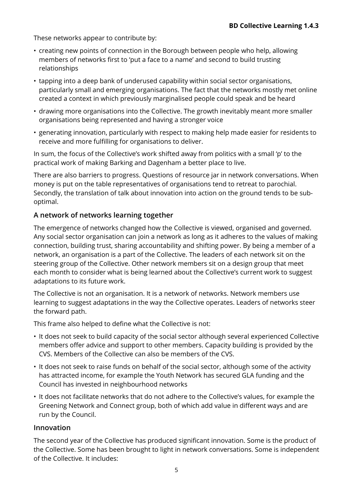These networks appear to contribute by:

- creating new points of connection in the Borough between people who help, allowing members of networks first to 'put a face to a name' and second to build trusting relationships
- tapping into a deep bank of underused capability within social sector organisations, particularly small and emerging organisations. The fact that the networks mostly met online created a context in which previously marginalised people could speak and be heard
- drawing more organisations into the Collective. The growth inevitably meant more smaller organisations being represented and having a stronger voice
- generating innovation, particularly with respect to making help made easier for residents to receive and more fulfilling for organisations to deliver.

In sum, the focus of the Collective's work shifted away from politics with a small 'p' to the practical work of making Barking and Dagenham a better place to live.

There are also barriers to progress. Questions of resource jar in network conversations. When money is put on the table representatives of organisations tend to retreat to parochial. Secondly, the translation of talk about innovation into action on the ground tends to be suboptimal.

## **A network of networks learning together**

The emergence of networks changed how the Collective is viewed, organised and governed. Any social sector organisation can join a network as long as it adheres to the values of making connection, building trust, sharing accountability and shifting power. By being a member of a network, an organisation is a part of the Collective. The leaders of each network sit on the steering group of the Collective. Other network members sit on a design group that meet each month to consider what is being learned about the Collective's current work to suggest adaptations to its future work.

The Collective is not an organisation. It is a network of networks. Network members use learning to suggest adaptations in the way the Collective operates. Leaders of networks steer the forward path.

This frame also helped to define what the Collective is not:

- It does not seek to build capacity of the social sector although several experienced Collective members offer advice and support to other members. Capacity building is provided by the CVS. Members of the Collective can also be members of the CVS.
- It does not seek to raise funds on behalf of the social sector, although some of the activity has attracted income, for example the Youth Network has secured GLA funding and the Council has invested in neighbourhood networks
- It does not facilitate networks that do not adhere to the Collective's values, for example the Greening Network and Connect group, both of which add value in different ways and are run by the Council.

## **Innovation**

The second year of the Collective has produced significant innovation. Some is the product of the Collective. Some has been brought to light in network conversations. Some is independent of the Collective. It includes: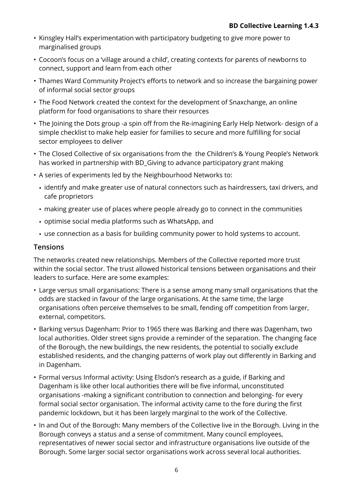- Kinsgley Hall's experimentation with participatory budgeting to give more power to marginalised groups
- Cocoon's focus on a 'village around a child', creating contexts for parents of newborns to connect, support and learn from each other
- Thames Ward Community Project's efforts to network and so increase the bargaining power of informal social sector groups
- The Food Network created the context for the development of Snaxchange, an online platform for food organisations to share their resources
- The Joining the Dots group -a spin off from the Re-imagining Early Help Network- design of a simple checklist to make help easier for families to secure and more fulfilling for social sector employees to deliver
- The Closed Collective of six organisations from the the Children's & Young People's Network has worked in partnership with BD\_Giving to advance participatory grant making
- A series of experiments led by the Neighbourhood Networks to:
	- identify and make greater use of natural connectors such as hairdressers, taxi drivers, and cafe proprietors
	- making greater use of places where people already go to connect in the communities
	- optimise social media platforms such as WhatsApp, and
	- use connection as a basis for building community power to hold systems to account.

## **Tensions**

The networks created new relationships. Members of the Collective reported more trust within the social sector. The trust allowed historical tensions between organisations and their leaders to surface. Here are some examples:

- Large versus small organisations: There is a sense among many small organisations that the odds are stacked in favour of the large organisations. At the same time, the large organisations often perceive themselves to be small, fending off competition from larger, external, competitors.
- Barking versus Dagenham: Prior to 1965 there was Barking and there was Dagenham, two local authorities. Older street signs provide a reminder of the separation. The changing face of the Borough, the new buildings, the new residents, the potential to socially exclude established residents, and the changing patterns of work play out differently in Barking and in Dagenham.
- Formal versus Informal activity: Using Elsdon's research as a guide, if Barking and Dagenham is like other local authorities there will be five informal, unconstituted organisations -making a significant contribution to connection and belonging- for every formal social sector organisation. The informal activity came to the fore during the first pandemic lockdown, but it has been largely marginal to the work of the Collective.
- In and Out of the Borough: Many members of the Collective live in the Borough. Living in the Borough conveys a status and a sense of commitment. Many council employees, representatives of newer social sector and infrastructure organisations live outside of the Borough. Some larger social sector organisations work across several local authorities.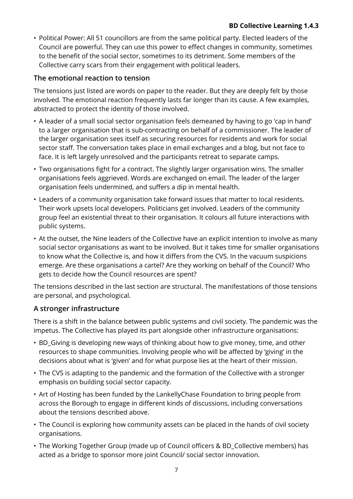• Political Power: All 51 councillors are from the same political party. Elected leaders of the Council are powerful. They can use this power to effect changes in community, sometimes to the benefit of the social sector, sometimes to its detriment. Some members of the Collective carry scars from their engagement with political leaders.

## **The emotional reaction to tension**

The tensions just listed are words on paper to the reader. But they are deeply felt by those involved. The emotional reaction frequently lasts far longer than its cause. A few examples, abstracted to protect the identity of those involved.

- A leader of a small social sector organisation feels demeaned by having to go 'cap in hand' to a larger organisation that is sub-contracting on behalf of a commissioner. The leader of the larger organisation sees itself as securing resources for residents and work for social sector staff. The conversation takes place in email exchanges and a blog, but not face to face. It is left largely unresolved and the participants retreat to separate camps.
- Two organisations fight for a contract. The slightly larger organisation wins. The smaller organisations feels aggrieved. Words are exchanged on email. The leader of the larger organisation feels undermined, and suffers a dip in mental health.
- Leaders of a community organisation take forward issues that matter to local residents. Their work upsets local developers. Politicians get involved. Leaders of the community group feel an existential threat to their organisation. It colours all future interactions with public systems.
- At the outset, the Nine leaders of the Collective have an explicit intention to involve as many social sector organisations as want to be involved. But it takes time for smaller organisations to know what the Collective is, and how it differs from the CVS. In the vacuum suspicions emerge. Are these organisations a cartel? Are they working on behalf of the Council? Who gets to decide how the Council resources are spent?

The tensions described in the last section are structural. The manifestations of those tensions are personal, and psychological.

## **A stronger infrastructure**

There is a shift in the balance between public systems and civil society. The pandemic was the impetus. The Collective has played its part alongside other infrastructure organisations:

- BD\_Giving is developing new ways of thinking about how to give money, time, and other resources to shape communities. Involving people who will be affected by 'giving' in the decisions about what is 'given' and for what purpose lies at the heart of their mission.
- The CVS is adapting to the pandemic and the formation of the Collective with a stronger emphasis on building social sector capacity.
- Art of Hosting has been funded by the LankellyChase Foundation to bring people from across the Borough to engage in different kinds of discussions, including conversations about the tensions described above.
- The Council is exploring how community assets can be placed in the hands of civil society organisations.
- The Working Together Group (made up of Council officers & BD\_Collective members) has acted as a bridge to sponsor more joint Council/ social sector innovation.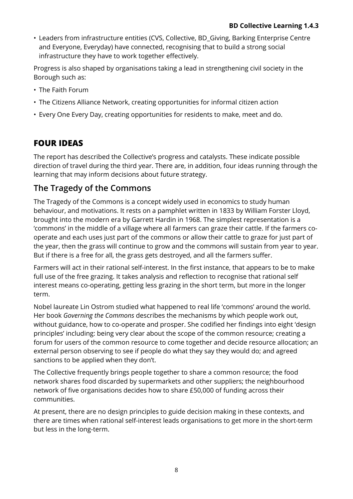• Leaders from infrastructure entities (CVS, Collective, BD Giving, Barking Enterprise Centre and Everyone, Everyday) have connected, recognising that to build a strong social infrastructure they have to work together effectively.

Progress is also shaped by organisations taking a lead in strengthening civil society in the Borough such as:

- The Faith Forum
- The Citizens Alliance Network, creating opportunities for informal citizen action
- Every One Every Day, creating opportunities for residents to make, meet and do.

# **FOUR IDEAS**

The report has described the Collective's progress and catalysts. These indicate possible direction of travel during the third year. There are, in addition, four ideas running through the learning that may inform decisions about future strategy.

## **The Tragedy of the Commons**

The Tragedy of the Commons is a concept widely used in economics to study human behaviour, and motivations. It rests on a pamphlet written in 1833 by William Forster Lloyd, brought into the modern era by Garrett Hardin in 1968. The simplest representation is a 'commons' in the middle of a village where all farmers can graze their cattle. If the farmers cooperate and each uses just part of the commons or allow their cattle to graze for just part of the year, then the grass will continue to grow and the commons will sustain from year to year. But if there is a free for all, the grass gets destroyed, and all the farmers suffer.

Farmers will act in their rational self-interest. In the first instance, that appears to be to make full use of the free grazing. It takes analysis and reflection to recognise that rational self interest means co-operating, getting less grazing in the short term, but more in the longer term.

Nobel laureate Lin Ostrom studied what happened to real life 'commons' around the world. Her book *Governing the Commons* describes the mechanisms by which people work out, without guidance, how to co-operate and prosper. She codified her findings into eight 'design principles' including: being very clear about the scope of the common resource; creating a forum for users of the common resource to come together and decide resource allocation; an external person observing to see if people do what they say they would do; and agreed sanctions to be applied when they don't.

The Collective frequently brings people together to share a common resource; the food network shares food discarded by supermarkets and other suppliers; the neighbourhood network of five organisations decides how to share £50,000 of funding across their communities.

At present, there are no design principles to guide decision making in these contexts, and there are times when rational self-interest leads organisations to get more in the short-term but less in the long-term.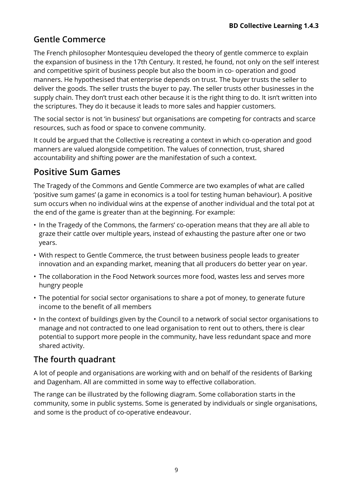# **Gentle Commerce**

The French philosopher Montesquieu developed the theory of gentle commerce to explain the expansion of business in the 17th Century. It rested, he found, not only on the self interest and competitive spirit of business people but also the boom in co- operation and good manners. He hypothesised that enterprise depends on trust. The buyer trusts the seller to deliver the goods. The seller trusts the buyer to pay. The seller trusts other businesses in the supply chain. They don't trust each other because it is the right thing to do. It isn't written into the scriptures. They do it because it leads to more sales and happier customers.

The social sector is not 'in business' but organisations are competing for contracts and scarce resources, such as food or space to convene community.

It could be argued that the Collective is recreating a context in which co-operation and good manners are valued alongside competition. The values of connection, trust, shared accountability and shifting power are the manifestation of such a context.

# **Positive Sum Games**

The Tragedy of the Commons and Gentle Commerce are two examples of what are called 'positive sum games' (a game in economics is a tool for testing human behaviour). A positive sum occurs when no individual wins at the expense of another individual and the total pot at the end of the game is greater than at the beginning. For example:

- In the Tragedy of the Commons, the farmers' co-operation means that they are all able to graze their cattle over multiple years, instead of exhausting the pasture after one or two years.
- With respect to Gentle Commerce, the trust between business people leads to greater innovation and an expanding market, meaning that all producers do better year on year.
- The collaboration in the Food Network sources more food, wastes less and serves more hungry people
- The potential for social sector organisations to share a pot of money, to generate future income to the benefit of all members
- In the context of buildings given by the Council to a network of social sector organisations to manage and not contracted to one lead organisation to rent out to others, there is clear potential to support more people in the community, have less redundant space and more shared activity.

# **The fourth quadrant**

A lot of people and organisations are working with and on behalf of the residents of Barking and Dagenham. All are committed in some way to effective collaboration.

The range can be illustrated by the following diagram. Some collaboration starts in the community, some in public systems. Some is generated by individuals or single organisations, and some is the product of co-operative endeavour.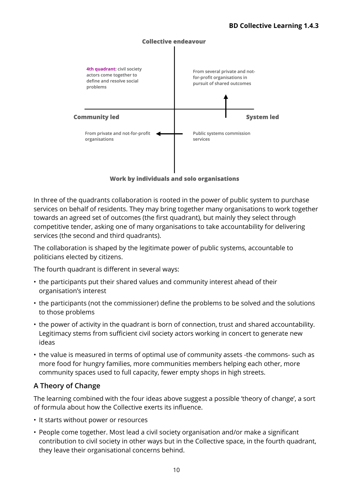

Work by individuals and solo organisations

In three of the quadrants collaboration is rooted in the power of public system to purchase services on behalf of residents. They may bring together many organisations to work together towards an agreed set of outcomes (the first quadrant), but mainly they select through competitive tender, asking one of many organisations to take accountability for delivering services (the second and third quadrants).

The collaboration is shaped by the legitimate power of public systems, accountable to politicians elected by citizens.

The fourth quadrant is different in several ways:

- the participants put their shared values and community interest ahead of their organisation's interest
- the participants (not the commissioner) define the problems to be solved and the solutions to those problems
- the power of activity in the quadrant is born of connection, trust and shared accountability. Legitimacy stems from sufficient civil society actors working in concert to generate new ideas
- the value is measured in terms of optimal use of community assets -the commons- such as more food for hungry families, more communities members helping each other, more community spaces used to full capacity, fewer empty shops in high streets.

## **A Theory of Change**

The learning combined with the four ideas above suggest a possible 'theory of change', a sort of formula about how the Collective exerts its influence.

- It starts without power or resources
- People come together. Most lead a civil society organisation and/or make a significant contribution to civil society in other ways but in the Collective space, in the fourth quadrant, they leave their organisational concerns behind.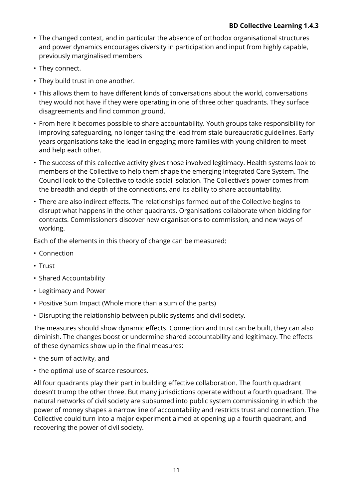- The changed context, and in particular the absence of orthodox organisational structures and power dynamics encourages diversity in participation and input from highly capable, previously marginalised members
- They connect.
- They build trust in one another.
- This allows them to have different kinds of conversations about the world, conversations they would not have if they were operating in one of three other quadrants. They surface disagreements and find common ground.
- From here it becomes possible to share accountability. Youth groups take responsibility for improving safeguarding, no longer taking the lead from stale bureaucratic guidelines. Early years organisations take the lead in engaging more families with young children to meet and help each other.
- The success of this collective activity gives those involved legitimacy. Health systems look to members of the Collective to help them shape the emerging Integrated Care System. The Council look to the Collective to tackle social isolation. The Collective's power comes from the breadth and depth of the connections, and its ability to share accountability.
- There are also indirect effects. The relationships formed out of the Collective begins to disrupt what happens in the other quadrants. Organisations collaborate when bidding for contracts. Commissioners discover new organisations to commission, and new ways of working.

Each of the elements in this theory of change can be measured:

- Connection
- Trust
- Shared Accountability
- Legitimacy and Power
- Positive Sum Impact (Whole more than a sum of the parts)
- Disrupting the relationship between public systems and civil society.

The measures should show dynamic effects. Connection and trust can be built, they can also diminish. The changes boost or undermine shared accountability and legitimacy. The effects of these dynamics show up in the final measures:

- the sum of activity, and
- the optimal use of scarce resources.

All four quadrants play their part in building effective collaboration. The fourth quadrant doesn't trump the other three. But many jurisdictions operate without a fourth quadrant. The natural networks of civil society are subsumed into public system commissioning in which the power of money shapes a narrow line of accountability and restricts trust and connection. The Collective could turn into a major experiment aimed at opening up a fourth quadrant, and recovering the power of civil society.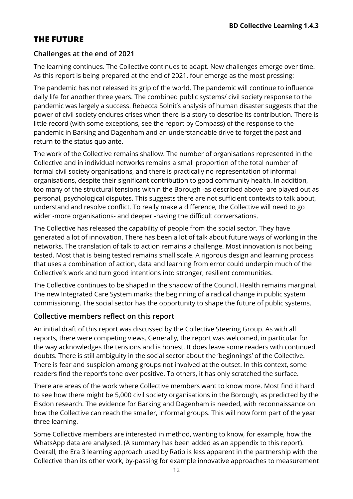# **THE FUTURE**

## **Challenges at the end of 2021**

The learning continues. The Collective continues to adapt. New challenges emerge over time. As this report is being prepared at the end of 2021, four emerge as the most pressing:

The pandemic has not released its grip of the world. The pandemic will continue to influence daily life for another three years. The combined public systems/ civil society response to the pandemic was largely a success. Rebecca Solnit's analysis of human disaster suggests that the power of civil society endures crises when there is a story to describe its contribution. There is little record (with some exceptions, see the report by Compass) of the response to the pandemic in Barking and Dagenham and an understandable drive to forget the past and return to the status quo ante.

The work of the Collective remains shallow. The number of organisations represented in the Collective and in individual networks remains a small proportion of the total number of formal civil society organisations, and there is practically no representation of informal organisations, despite their significant contribution to good community health. In addition, too many of the structural tensions within the Borough -as described above -are played out as personal, psychological disputes. This suggests there are not sufficient contexts to talk about, understand and resolve conflict. To really make a difference, the Collective will need to go wider -more organisations- and deeper -having the difficult conversations.

The Collective has released the capability of people from the social sector. They have generated a lot of innovation. There has been a lot of talk about future ways of working in the networks. The translation of talk to action remains a challenge. Most innovation is not being tested. Most that is being tested remains small scale. A rigorous design and learning process that uses a combination of action, data and learning from error could underpin much of the Collective's work and turn good intentions into stronger, resilient communities.

The Collective continues to be shaped in the shadow of the Council. Health remains marginal. The new Integrated Care System marks the beginning of a radical change in public system commissioning. The social sector has the opportunity to shape the future of public systems.

## **Collective members reflect on this report**

An initial draft of this report was discussed by the Collective Steering Group. As with all reports, there were competing views. Generally, the report was welcomed, in particular for the way acknowledges the tensions and is honest. It does leave some readers with continued doubts. There is still ambiguity in the social sector about the 'beginnings' of the Collective. There is fear and suspicion among groups not involved at the outset. In this context, some readers find the report's tone over positive. To others, it has only scratched the surface.

There are areas of the work where Collective members want to know more. Most find it hard to see how there might be 5,000 civil society organisations in the Borough, as predicted by the Elsdon research. The evidence for Barking and Dagenham is needed, with reconnaissance on how the Collective can reach the smaller, informal groups. This will now form part of the year three learning.

Some Collective members are interested in method, wanting to know, for example, how the WhatsApp data are analysed. (A summary has been added as an appendix to this report). Overall, the Era 3 learning approach used by Ratio is less apparent in the partnership with the Collective than its other work, by-passing for example innovative approaches to measurement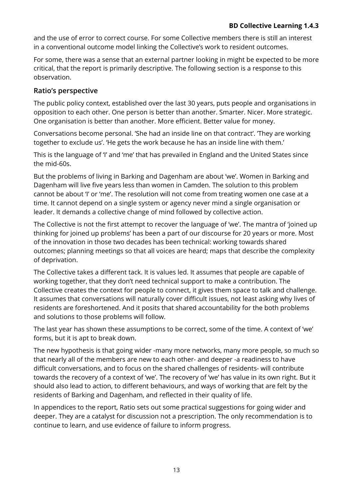and the use of error to correct course. For some Collective members there is still an interest in a conventional outcome model linking the Collective's work to resident outcomes.

For some, there was a sense that an external partner looking in might be expected to be more critical, that the report is primarily descriptive. The following section is a response to this observation.

## **Ratio's perspective**

The public policy context, established over the last 30 years, puts people and organisations in opposition to each other. One person is better than another. Smarter. Nicer. More strategic. One organisation is better than another. More efficient. Better value for money.

Conversations become personal. 'She had an inside line on that contract'. 'They are working together to exclude us'. 'He gets the work because he has an inside line with them.'

This is the language of 'I' and 'me' that has prevailed in England and the United States since the mid-60s.

But the problems of living in Barking and Dagenham are about 'we'. Women in Barking and Dagenham will live five years less than women in Camden. The solution to this problem cannot be about 'I' or 'me'. The resolution will not come from treating women one case at a time. It cannot depend on a single system or agency never mind a single organisation or leader. It demands a collective change of mind followed by collective action.

The Collective is not the first attempt to recover the language of 'we'. The mantra of 'joined up thinking for joined up problems' has been a part of our discourse for 20 years or more. Most of the innovation in those two decades has been technical: working towards shared outcomes; planning meetings so that all voices are heard; maps that describe the complexity of deprivation.

The Collective takes a different tack. It is values led. It assumes that people are capable of working together, that they don't need technical support to make a contribution. The Collective creates the context for people to connect, it gives them space to talk and challenge. It assumes that conversations will naturally cover difficult issues, not least asking why lives of residents are foreshortened. And it posits that shared accountability for the both problems and solutions to those problems will follow.

The last year has shown these assumptions to be correct, some of the time. A context of 'we' forms, but it is apt to break down.

The new hypothesis is that going wider -many more networks, many more people, so much so that nearly all of the members are new to each other- and deeper -a readiness to have difficult conversations, and to focus on the shared challenges of residents- will contribute towards the recovery of a context of 'we'. The recovery of 'we' has value in its own right. But it should also lead to action, to different behaviours, and ways of working that are felt by the residents of Barking and Dagenham, and reflected in their quality of life.

In appendices to the report, Ratio sets out some practical suggestions for going wider and deeper. They are a catalyst for discussion not a prescription. The only recommendation is to continue to learn, and use evidence of failure to inform progress.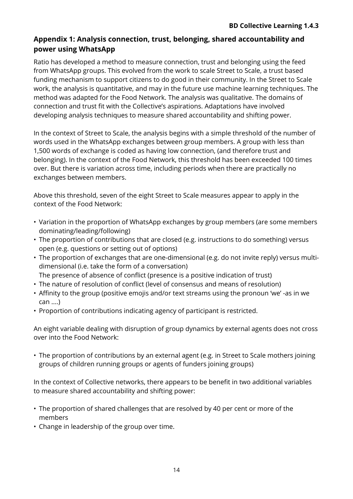## **Appendix 1: Analysis connection, trust, belonging, shared accountability and power using WhatsApp**

Ratio has developed a method to measure connection, trust and belonging using the feed from WhatsApp groups. This evolved from the work to scale Street to Scale, a trust based funding mechanism to support citizens to do good in their community. In the Street to Scale work, the analysis is quantitative, and may in the future use machine learning techniques. The method was adapted for the Food Network. The analysis was qualitative. The domains of connection and trust fit with the Collective's aspirations. Adaptations have involved developing analysis techniques to measure shared accountability and shifting power.

In the context of Street to Scale, the analysis begins with a simple threshold of the number of words used in the WhatsApp exchanges between group members. A group with less than 1,500 words of exchange is coded as having low connection, (and therefore trust and belonging). In the context of the Food Network, this threshold has been exceeded 100 times over. But there is variation across time, including periods when there are practically no exchanges between members.

Above this threshold, seven of the eight Street to Scale measures appear to apply in the context of the Food Network:

- Variation in the proportion of WhatsApp exchanges by group members (are some members dominating/leading/following)
- The proportion of contributions that are closed (e.g. instructions to do something) versus open (e.g. questions or setting out of options)
- The proportion of exchanges that are one-dimensional (e.g. do not invite reply) versus multidimensional (i.e. take the form of a conversation) The presence of absence of conflict (presence is a positive indication of trust)
- 
- The nature of resolution of conflict (level of consensus and means of resolution)
- Affinity to the group (positive emojis and/or text streams using the pronoun 'we' -as in we can ....)
- Proportion of contributions indicating agency of participant is restricted.

An eight variable dealing with disruption of group dynamics by external agents does not cross over into the Food Network:

• The proportion of contributions by an external agent (e.g. in Street to Scale mothers joining groups of children running groups or agents of funders joining groups)

In the context of Collective networks, there appears to be benefit in two additional variables to measure shared accountability and shifting power:

- The proportion of shared challenges that are resolved by 40 per cent or more of the members
- Change in leadership of the group over time.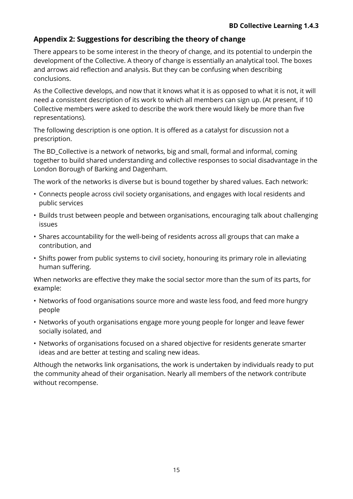## **Appendix 2: Suggestions for describing the theory of change**

There appears to be some interest in the theory of change, and its potential to underpin the development of the Collective. A theory of change is essentially an analytical tool. The boxes and arrows aid reflection and analysis. But they can be confusing when describing conclusions.

As the Collective develops, and now that it knows what it is as opposed to what it is not, it will need a consistent description of its work to which all members can sign up. (At present, if 10 Collective members were asked to describe the work there would likely be more than five representations).

The following description is one option. It is offered as a catalyst for discussion not a prescription.

The BD\_Collective is a network of networks, big and small, formal and informal, coming together to build shared understanding and collective responses to social disadvantage in the London Borough of Barking and Dagenham.

The work of the networks is diverse but is bound together by shared values. Each network:

- Connects people across civil society organisations, and engages with local residents and public services
- Builds trust between people and between organisations, encouraging talk about challenging issues
- Shares accountability for the well-being of residents across all groups that can make a contribution, and
- Shifts power from public systems to civil society, honouring its primary role in alleviating human suffering.

When networks are effective they make the social sector more than the sum of its parts, for example:

- Networks of food organisations source more and waste less food, and feed more hungry people
- Networks of youth organisations engage more young people for longer and leave fewer socially isolated, and
- Networks of organisations focused on a shared objective for residents generate smarter ideas and are better at testing and scaling new ideas.

Although the networks link organisations, the work is undertaken by individuals ready to put the community ahead of their organisation. Nearly all members of the network contribute without recompense.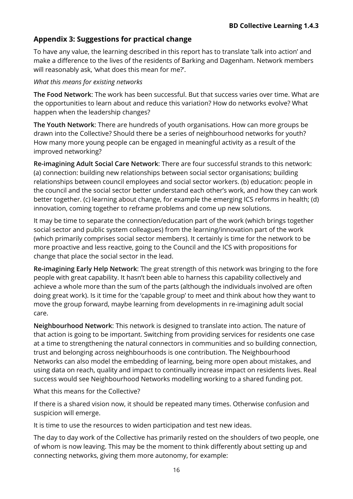## **Appendix 3: Suggestions for practical change**

To have any value, the learning described in this report has to translate 'talk into action' and make a difference to the lives of the residents of Barking and Dagenham. Network members will reasonably ask, 'what does this mean for me?'.

#### *What this means for existing networks*

**The Food Network**: The work has been successful. But that success varies over time. What are the opportunities to learn about and reduce this variation? How do networks evolve? What happen when the leadership changes?

**The Youth Network**: There are hundreds of youth organisations. How can more groups be drawn into the Collective? Should there be a series of neighbourhood networks for youth? How many more young people can be engaged in meaningful activity as a result of the improved networking?

**Re-imagining Adult Social Care Network**: There are four successful strands to this network: (a) connection: building new relationships between social sector organisations; building relationships between council employees and social sector workers. (b) education: people in the council and the social sector better understand each other's work, and how they can work better together. (c) learning about change, for example the emerging ICS reforms in health; (d) innovation, coming together to reframe problems and come up new solutions.

It may be time to separate the connection/education part of the work (which brings together social sector and public system colleagues) from the learning/innovation part of the work (which primarily comprises social sector members). It certainly is time for the network to be more proactive and less reactive, going to the Council and the ICS with propositions for change that place the social sector in the lead.

**Re-imagining Early Help Network**: The great strength of this network was bringing to the fore people with great capability. It hasn't been able to harness this capability collectively and achieve a whole more than the sum of the parts (although the individuals involved are often doing great work). Is it time for the 'capable group' to meet and think about how they want to move the group forward, maybe learning from developments in re-imagining adult social care.

**Neighbourhood Network**: This network is designed to translate into action. The nature of that action is going to be important. Switching from providing services for residents one case at a time to strengthening the natural connectors in communities and so building connection, trust and belonging across neighbourhoods is one contribution. The Neighbourhood Networks can also model the embedding of learning, being more open about mistakes, and using data on reach, quality and impact to continually increase impact on residents lives. Real success would see Neighbourhood Networks modelling working to a shared funding pot.

What this means for the Collective?

If there is a shared vision now, it should be repeated many times. Otherwise confusion and suspicion will emerge.

It is time to use the resources to widen participation and test new ideas.

The day to day work of the Collective has primarily rested on the shoulders of two people, one of whom is now leaving. This may be the moment to think differently about setting up and connecting networks, giving them more autonomy, for example: